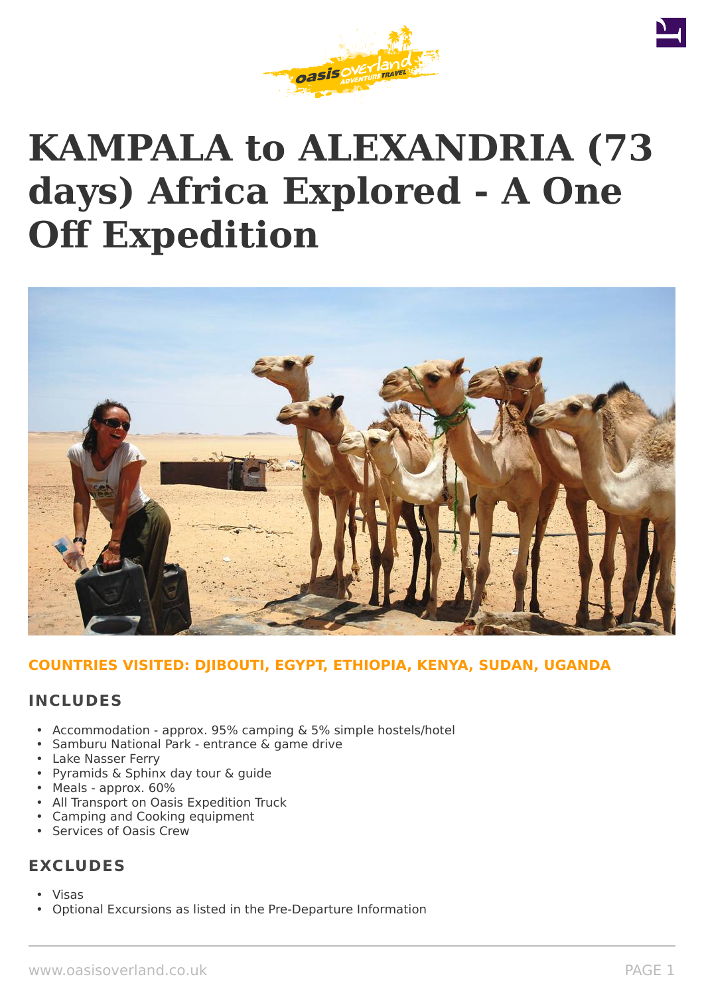





## **COUNTRIES VISITED: DJIBOUTI, EGYPT, ETHIOPIA, KENYA, SUDAN, UGANDA**

### **INCLUDES**

- Accommodation approx. 95% camping & 5% simple hostels/hotel
- Samburu National Park entrance & game drive
- Lake Nasser Ferry
- Pyramids & Sphinx day tour & guide
- Meals approx. 60%
- All Transport on Oasis Expedition Truck
- Camping and Cooking equipment
- Services of Oasis Crew

## **EXCLUDES**

- Visas
- Optional Excursions as listed in the Pre-Departure Information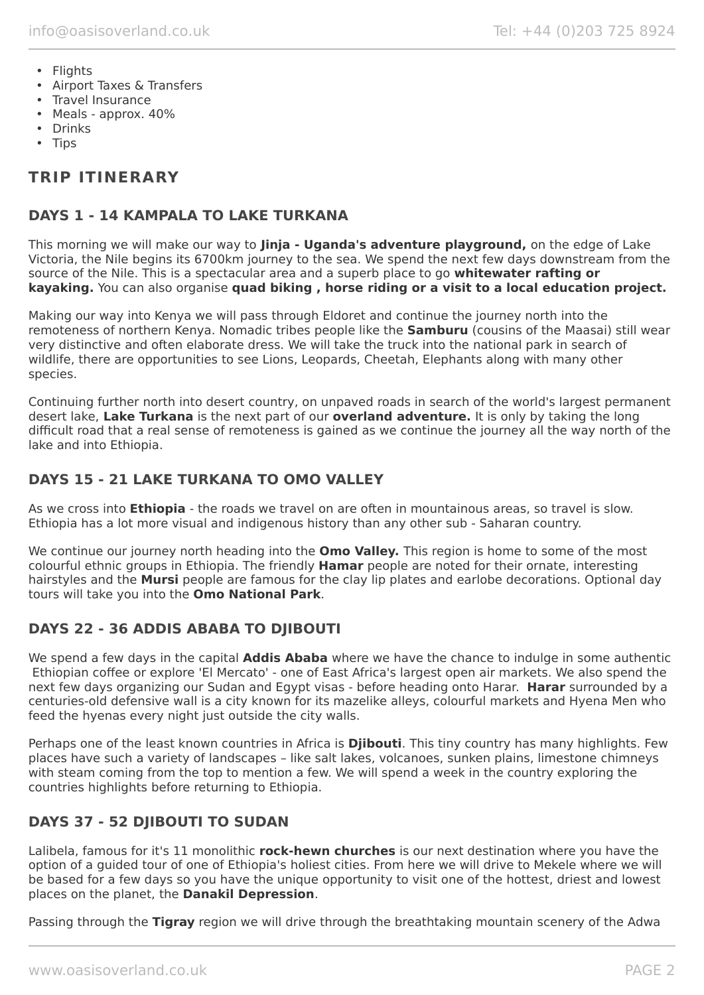- Flights
- Airport Taxes & Transfers
- Travel Insurance
- Meals approx. 40%
- Drinks
- Tips

# **TRIP ITINERARY**

## **DAYS 1 - 14 KAMPALA TO LAKE TURKANA**

This morning we will make our way to **Jinja - Uganda's adventure playground,** on the edge of Lake Victoria, the Nile begins its 6700km journey to the sea. We spend the next few days downstream from the source of the Nile. This is a spectacular area and a superb place to go **whitewater rafting or kayaking.** You can also organise **quad biking , horse riding or a visit to a local education project.**

Making our way into Kenya we will pass through Eldoret and continue the journey north into the remoteness of northern Kenya. Nomadic tribes people like the **Samburu** (cousins of the Maasai) still wear very distinctive and often elaborate dress. We will take the truck into the national park in search of wildlife, there are opportunities to see Lions, Leopards, Cheetah, Elephants along with many other species.

Continuing further north into desert country, on unpaved roads in search of the world's largest permanent desert lake, **Lake Turkana** is the next part of our **overland adventure.** It is only by taking the long difficult road that a real sense of remoteness is gained as we continue the journey all the way north of the lake and into Ethiopia.

## **DAYS 15 - 21 LAKE TURKANA TO OMO VALLEY**

As we cross into **Ethiopia** - the roads we travel on are often in mountainous areas, so travel is slow. Ethiopia has a lot more visual and indigenous history than any other sub - Saharan country.

We continue our journey north heading into the **Omo Valley.** This region is home to some of the most colourful ethnic groups in Ethiopia. The friendly **Hamar** people are noted for their ornate, interesting hairstyles and the **Mursi** people are famous for the clay lip plates and earlobe decorations. Optional day tours will take you into the **Omo National Park**.

## **DAYS 22 - 36 ADDIS ABABA TO DJIBOUTI**

We spend a few days in the capital **Addis Ababa** where we have the chance to indulge in some authentic Ethiopian coffee or explore 'El Mercato' - one of East Africa's largest open air markets. We also spend the next few days organizing our Sudan and Egypt visas - before heading onto Harar. **Harar** surrounded by a centuries-old defensive wall is a city known for its mazelike alleys, colourful markets and Hyena Men who feed the hyenas every night just outside the city walls.

Perhaps one of the least known countries in Africa is **Djibouti**. This tiny country has many highlights. Few places have such a variety of landscapes – like salt lakes, volcanoes, sunken plains, limestone chimneys with steam coming from the top to mention a few. We will spend a week in the country exploring the countries highlights before returning to Ethiopia.

## **DAYS 37 - 52 DJIBOUTI TO SUDAN**

Lalibela, famous for it's 11 monolithic **rock-hewn churches** is our next destination where you have the option of a guided tour of one of Ethiopia's holiest cities. From here we will drive to Mekele where we will be based for a few days so you have the unique opportunity to visit one of the hottest, driest and lowest places on the planet, the **Danakil Depression**.

Passing through the **Tigray** region we will drive through the breathtaking mountain scenery of the Adwa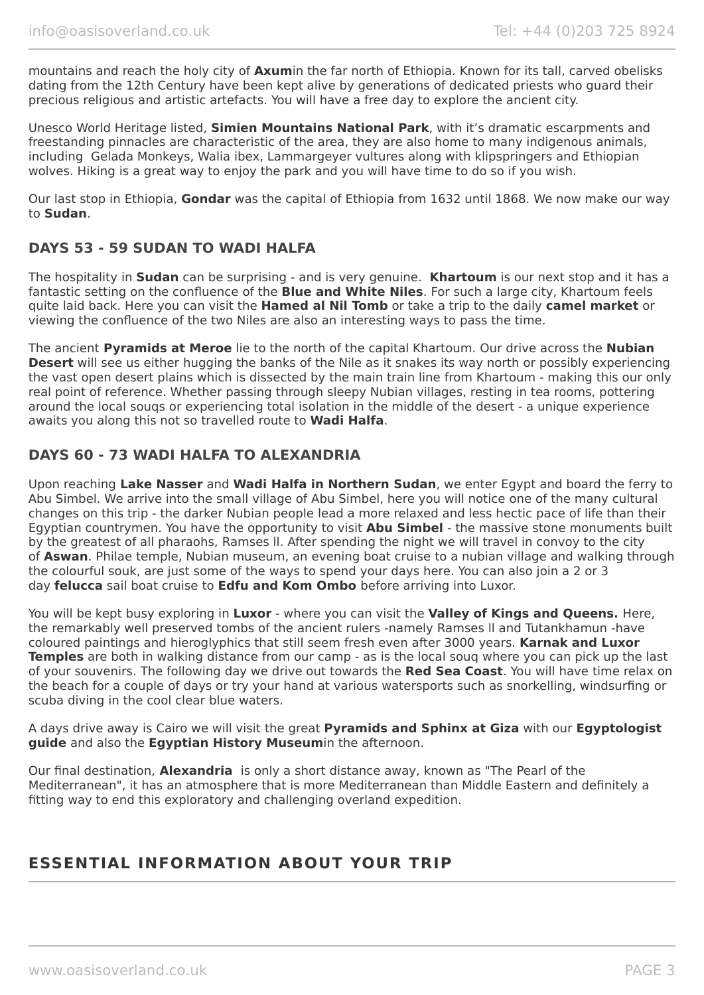mountains and reach the holy city of **Axum**in the far north of Ethiopia. Known for its tall, carved obelisks dating from the 12th Century have been kept alive by generations of dedicated priests who guard their precious religious and artistic artefacts. You will have a free day to explore the ancient city.

Unesco World Heritage listed, **Simien Mountains National Park**, with it's dramatic escarpments and freestanding pinnacles are characteristic of the area, they are also home to many indigenous animals, including Gelada Monkeys, Walia ibex, Lammargeyer vultures along with klipspringers and Ethiopian wolves. Hiking is a great way to enjoy the park and you will have time to do so if you wish.

Our last stop in Ethiopia, **Gondar** was the capital of Ethiopia from 1632 until 1868. We now make our way to **Sudan**.

## **DAYS 53 - 59 SUDAN TO WADI HALFA**

The hospitality in **Sudan** can be surprising - and is very genuine. **Khartoum** is our next stop and it has a fantastic setting on the confluence of the **Blue and White Niles**. For such a large city, Khartoum feels quite laid back. Here you can visit the **Hamed al Nil Tomb** or take a trip to the daily **camel market** or viewing the confluence of the two Niles are also an interesting ways to pass the time.

The ancient **Pyramids at Meroe** lie to the north of the capital Khartoum. Our drive across the **Nubian Desert** will see us either hugging the banks of the Nile as it snakes its way north or possibly experiencing the vast open desert plains which is dissected by the main train line from Khartoum - making this our only real point of reference. Whether passing through sleepy Nubian villages, resting in tea rooms, pottering around the local souqs or experiencing total isolation in the middle of the desert - a unique experience awaits you along this not so travelled route to **Wadi Halfa**.

## **DAYS 60 - 73 WADI HALFA TO ALEXANDRIA**

Upon reaching **Lake Nasser** and **Wadi Halfa in Northern Sudan**, we enter Egypt and board the ferry to Abu Simbel. We arrive into the small village of Abu Simbel, here you will notice one of the many cultural changes on this trip - the darker Nubian people lead a more relaxed and less hectic pace of life than their Egyptian countrymen. You have the opportunity to visit **Abu Simbel** - the massive stone monuments built by the greatest of all pharaohs, Ramses ll. After spending the night we will travel in convoy to the city of **Aswan**. Philae temple, Nubian museum, an evening boat cruise to a nubian village and walking through the colourful souk, are just some of the ways to spend your days here. You can also join a 2 or 3 day **felucca** sail boat cruise to **Edfu and Kom Ombo** before arriving into Luxor.

You will be kept busy exploring in **Luxor** - where you can visit the **Valley of Kings and Queens.** Here, the remarkably well preserved tombs of the ancient rulers -namely Ramses ll and Tutankhamun -have coloured paintings and hieroglyphics that still seem fresh even after 3000 years. **Karnak and Luxor Temples** are both in walking distance from our camp - as is the local souq where you can pick up the last of your souvenirs. The following day we drive out towards the **Red Sea Coast**. You will have time relax on the beach for a couple of days or try your hand at various watersports such as snorkelling, windsurfing or scuba diving in the cool clear blue waters.

A days drive away is Cairo we will visit the great **Pyramids and Sphinx at Giza** with our **Egyptologist guide** and also the **Egyptian History Museum**in the afternoon.

Our final destination, **Alexandria** is only a short distance away, known as "The Pearl of the Mediterranean", it has an atmosphere that is more Mediterranean than Middle Eastern and definitely a fitting way to end this exploratory and challenging overland expedition.

# **ESSENTIAL INFORMATION ABOUT YOUR TRIP**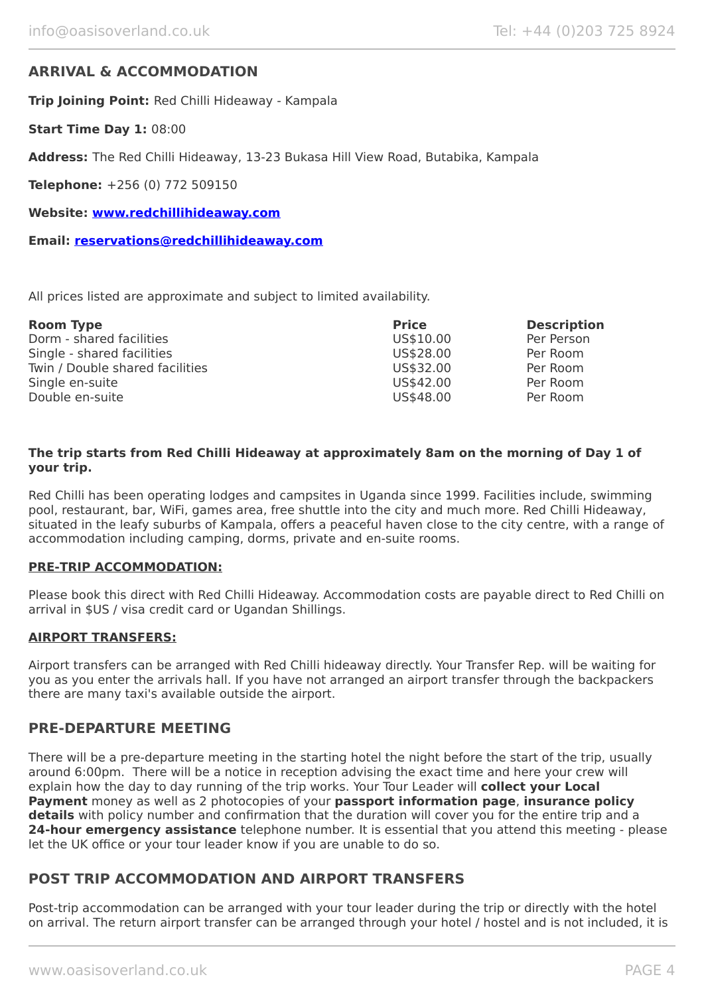## **ARRIVAL & ACCOMMODATION**

**Trip Joining Point:** Red Chilli Hideaway - Kampala

**Start Time Day 1:** 08:00

**Address:** The Red Chilli Hideaway, 13-23 Bukasa Hill View Road, Butabika, Kampala

**Telephone:** +256 (0) 772 509150

**Website: [www.redchillihideaway.com](https://www.redchillihideaway.com/)**

**Email: [reservations@redchillihideaway.com](mailto:reservations@redchillihideaway.com)**

All prices listed are approximate and subject to limited availability.

| <b>Room Type</b>                | <b>Price</b> | <b>Description</b> |
|---------------------------------|--------------|--------------------|
| Dorm - shared facilities        | US\$10.00    | Per Person         |
| Single - shared facilities      | US\$28.00    | Per Room           |
| Twin / Double shared facilities | US\$32.00    | Per Room           |
| Single en-suite                 | US\$42.00    | Per Room           |
| Double en-suite                 | US\$48.00    | Per Room           |

#### **The trip starts from Red Chilli Hideaway at approximately 8am on the morning of Day 1 of your trip.**

Red Chilli has been operating lodges and campsites in Uganda since 1999. Facilities include, swimming pool, restaurant, bar, WiFi, games area, free shuttle into the city and much more. Red Chilli Hideaway, situated in the leafy suburbs of Kampala, offers a peaceful haven close to the city centre, with a range of accommodation including camping, dorms, private and en-suite rooms.

#### **PRE-TRIP ACCOMMODATION:**

Please book this direct with Red Chilli Hideaway. Accommodation costs are payable direct to Red Chilli on arrival in \$US / visa credit card or Ugandan Shillings.

#### **AIRPORT TRANSFERS:**

Airport transfers can be arranged with Red Chilli hideaway directly. Your Transfer Rep. will be waiting for you as you enter the arrivals hall. If you have not arranged an airport transfer through the backpackers there are many taxi's available outside the airport.

#### **PRE-DEPARTURE MEETING**

There will be a pre-departure meeting in the starting hotel the night before the start of the trip, usually around 6:00pm. There will be a notice in reception advising the exact time and here your crew will explain how the day to day running of the trip works. Your Tour Leader will **collect your Local Payment** money as well as 2 photocopies of your **passport information page**, **insurance policy details** with policy number and confirmation that the duration will cover you for the entire trip and a **24-hour emergency assistance** telephone number. It is essential that you attend this meeting - please let the UK office or your tour leader know if you are unable to do so.

## **POST TRIP ACCOMMODATION AND AIRPORT TRANSFERS**

Post-trip accommodation can be arranged with your tour leader during the trip or directly with the hotel on arrival. The return airport transfer can be arranged through your hotel / hostel and is not included, it is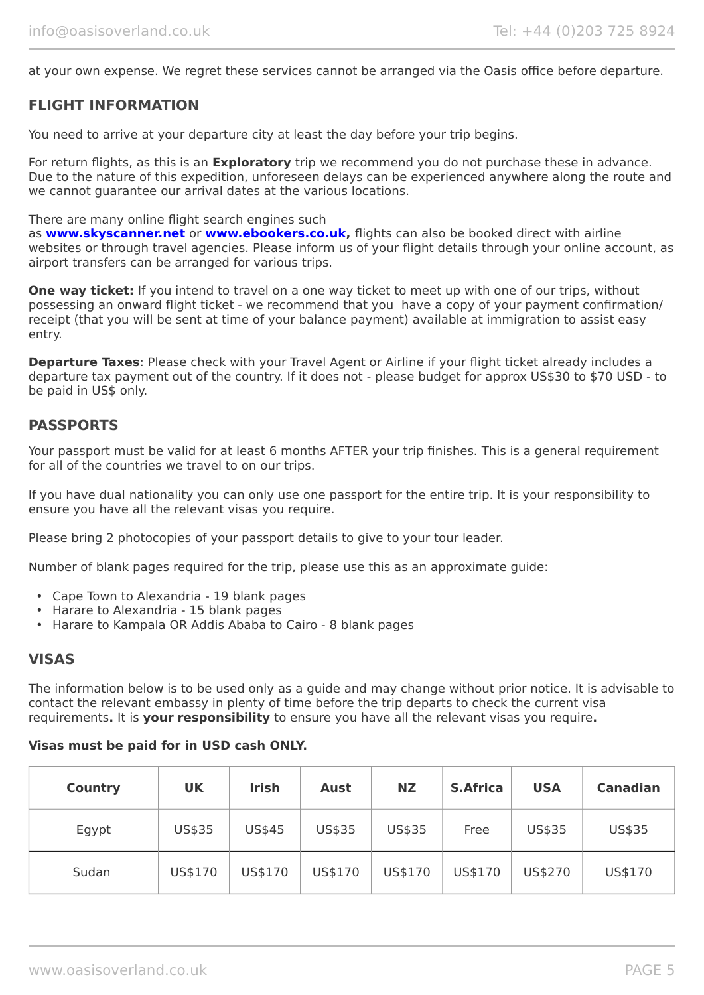at your own expense. We regret these services cannot be arranged via the Oasis office before departure.

## **FLIGHT INFORMATION**

You need to arrive at your departure city at least the day before your trip begins.

For return flights, as this is an **Exploratory** trip we recommend you do not purchase these in advance. Due to the nature of this expedition, unforeseen delays can be experienced anywhere along the route and we cannot guarantee our arrival dates at the various locations.

There are many online flight search engines such

as **[www.skyscanner.net](http://www.dpbolvw.net/click-5720161-10639348)** or **[www.ebookers.co.uk,](http://www.ebookers.co.uk/)** flights can also be booked direct with airline websites or through travel agencies. Please inform us of your flight details through your online account, as airport transfers can be arranged for various trips.

**One way ticket:** If you intend to travel on a one way ticket to meet up with one of our trips, without possessing an onward flight ticket - we recommend that you have a copy of your payment confirmation/ receipt (that you will be sent at time of your balance payment) available at immigration to assist easy entry.

**Departure Taxes:** Please check with your Travel Agent or Airline if your flight ticket already includes a departure tax payment out of the country. If it does not - please budget for approx US\$30 to \$70 USD - to be paid in US\$ only.

## **PASSPORTS**

Your passport must be valid for at least 6 months AFTER your trip finishes. This is a general requirement for all of the countries we travel to on our trips.

If you have dual nationality you can only use one passport for the entire trip. It is your responsibility to ensure you have all the relevant visas you require.

Please bring 2 photocopies of your passport details to give to your tour leader.

Number of blank pages required for the trip, please use this as an approximate guide:

- Cape Town to Alexandria 19 blank pages
- Harare to Alexandria 15 blank pages
- Harare to Kampala OR Addis Ababa to Cairo 8 blank pages

### **VISAS**

The information below is to be used only as a guide and may change without prior notice. It is advisable to contact the relevant embassy in plenty of time before the trip departs to check the current visa requirements**.** It is **your responsibility** to ensure you have all the relevant visas you require**.**

#### **Visas must be paid for in USD cash ONLY.**

| <b>Country</b> | <b>UK</b> | <b>Irish</b>  | <b>Aust</b> | <b>NZ</b> | <b>S.Africa</b> | <b>USA</b> | <b>Canadian</b> |
|----------------|-----------|---------------|-------------|-----------|-----------------|------------|-----------------|
| Egypt          | US\$35    | <b>US\$45</b> | US\$35      | US\$35    | Free            | US\$35     | US\$35          |
| Sudan          | US\$170   | US\$170       | US\$170     | US\$170   | US\$170         | US\$270    | US\$170         |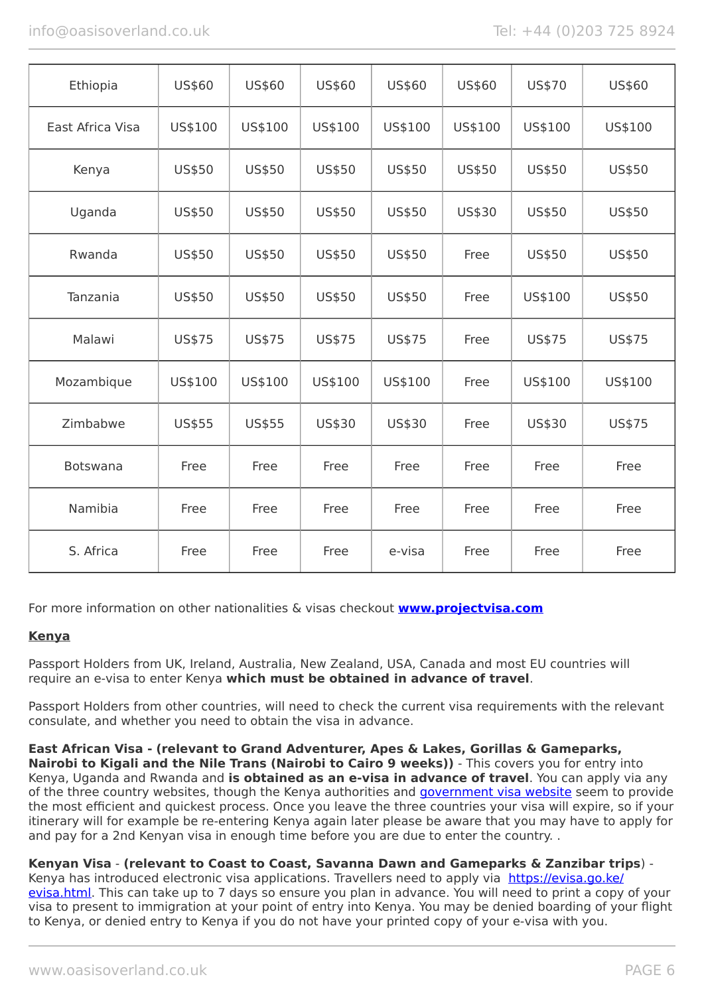| Ethiopia         | US\$60  | US\$60  | US\$60        | US\$60        | US\$60  | US\$70  | US\$60  |
|------------------|---------|---------|---------------|---------------|---------|---------|---------|
| East Africa Visa | US\$100 | US\$100 | US\$100       | US\$100       | US\$100 | US\$100 | US\$100 |
| Kenya            | US\$50  | US\$50  | <b>US\$50</b> | US\$50        | US\$50  | US\$50  | US\$50  |
| Uganda           | US\$50  | US\$50  | <b>US\$50</b> | US\$50        | US\$30  | US\$50  | US\$50  |
| Rwanda           | US\$50  | US\$50  | US\$50        | US\$50        | Free    | US\$50  | US\$50  |
| Tanzania         | US\$50  | US\$50  | US\$50        | <b>US\$50</b> | Free    | US\$100 | US\$50  |
| Malawi           | US\$75  | US\$75  | US\$75        | US\$75        | Free    | US\$75  | US\$75  |
| Mozambique       | US\$100 | US\$100 | US\$100       | US\$100       | Free    | US\$100 | US\$100 |
| Zimbabwe         | US\$55  | US\$55  | US\$30        | US\$30        | Free    | US\$30  | US\$75  |
| Botswana         | Free    | Free    | Free          | Free          | Free    | Free    | Free    |
| Namibia          | Free    | Free    | Free          | Free          | Free    | Free    | Free    |
| S. Africa        | Free    | Free    | Free          | e-visa        | Free    | Free    | Free    |

For more information on other nationalities & visas checkout **[www.projectvisa.com](http://www.projectvisa.com/)**

### **Kenya**

Passport Holders from UK, Ireland, Australia, New Zealand, USA, Canada and most EU countries will require an e-visa to enter Kenya **which must be obtained in advance of travel**.

Passport Holders from other countries, will need to check the current visa requirements with the relevant consulate, and whether you need to obtain the visa in advance.

**East African Visa - (relevant to Grand Adventurer, Apes & Lakes, Gorillas & Gameparks, Nairobi to Kigali and the Nile Trans (Nairobi to Cairo 9 weeks))** - This covers you for entry into Kenya, Uganda and Rwanda and **is obtained as an e-visa in advance of travel**. You can apply via any of the three country websites, though the Kenya authorities and [government visa website](https://evisa.go.ke/evisa.html) seem to provide the most efficient and quickest process. Once you leave the three countries your visa will expire, so if your itinerary will for example be re-entering Kenya again later please be aware that you may have to apply for and pay for a 2nd Kenyan visa in enough time before you are due to enter the country. .

### **Kenyan Visa** - **(relevant to Coast to Coast, Savanna Dawn and Gameparks & Zanzibar trips**) -

Kenya has introduced electronic visa applications. Travellers need to apply via [https://evisa.go.ke/](https://evisa.go.ke/evisa.html) [evisa.html](https://evisa.go.ke/evisa.html). This can take up to 7 days so ensure you plan in advance. You will need to print a copy of your visa to present to immigration at your point of entry into Kenya. You may be denied boarding of your flight to Kenya, or denied entry to Kenya if you do not have your printed copy of your e-visa with you.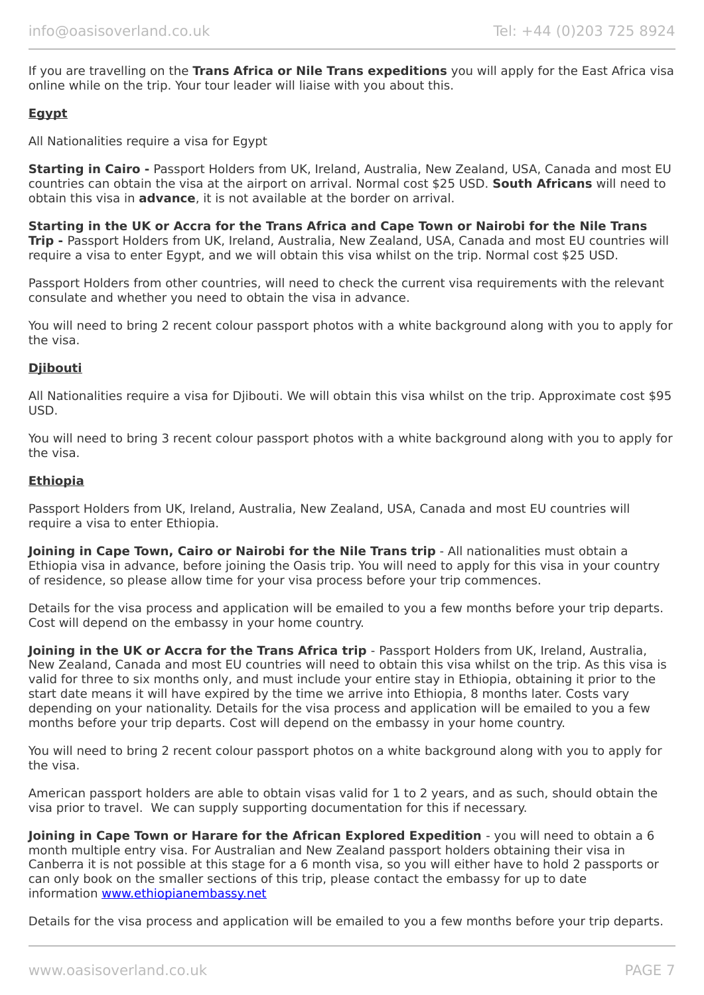If you are travelling on the **Trans Africa or Nile Trans expeditions** you will apply for the East Africa visa online while on the trip. Your tour leader will liaise with you about this.

#### **Egypt**

All Nationalities require a visa for Egypt

**Starting in Cairo -** Passport Holders from UK, Ireland, Australia, New Zealand, USA, Canada and most EU countries can obtain the visa at the airport on arrival. Normal cost \$25 USD. **South Africans** will need to obtain this visa in **advance**, it is not available at the border on arrival.

**Starting in the UK or Accra for the Trans Africa and Cape Town or Nairobi for the Nile Trans Trip -** Passport Holders from UK, Ireland, Australia, New Zealand, USA, Canada and most EU countries will require a visa to enter Egypt, and we will obtain this visa whilst on the trip. Normal cost \$25 USD.

Passport Holders from other countries, will need to check the current visa requirements with the relevant consulate and whether you need to obtain the visa in advance.

You will need to bring 2 recent colour passport photos with a white background along with you to apply for the visa.

#### **Djibouti**

All Nationalities require a visa for Djibouti. We will obtain this visa whilst on the trip. Approximate cost \$95 USD.

You will need to bring 3 recent colour passport photos with a white background along with you to apply for the visa.

#### **Ethiopia**

Passport Holders from UK, Ireland, Australia, New Zealand, USA, Canada and most EU countries will require a visa to enter Ethiopia.

**Joining in Cape Town, Cairo or Nairobi for the Nile Trans trip** - All nationalities must obtain a Ethiopia visa in advance, before joining the Oasis trip. You will need to apply for this visa in your country of residence, so please allow time for your visa process before your trip commences.

Details for the visa process and application will be emailed to you a few months before your trip departs. Cost will depend on the embassy in your home country.

**Joining in the UK or Accra for the Trans Africa trip** - Passport Holders from UK, Ireland, Australia, New Zealand, Canada and most EU countries will need to obtain this visa whilst on the trip. As this visa is valid for three to six months only, and must include your entire stay in Ethiopia, obtaining it prior to the start date means it will have expired by the time we arrive into Ethiopia, 8 months later. Costs vary depending on your nationality. Details for the visa process and application will be emailed to you a few months before your trip departs. Cost will depend on the embassy in your home country.

You will need to bring 2 recent colour passport photos on a white background along with you to apply for the visa.

American passport holders are able to obtain visas valid for 1 to 2 years, and as such, should obtain the visa prior to travel. We can supply supporting documentation for this if necessary.

**Joining in Cape Town or Harare for the African Explored Expedition** - you will need to obtain a 6 month multiple entry visa. For Australian and New Zealand passport holders obtaining their visa in Canberra it is not possible at this stage for a 6 month visa, so you will either have to hold 2 passports or can only book on the smaller sections of this trip, please contact the embassy for up to date information [www.ethiopianembassy.net](http://www.ethiopianembassy.net/)

Details for the visa process and application will be emailed to you a few months before your trip departs.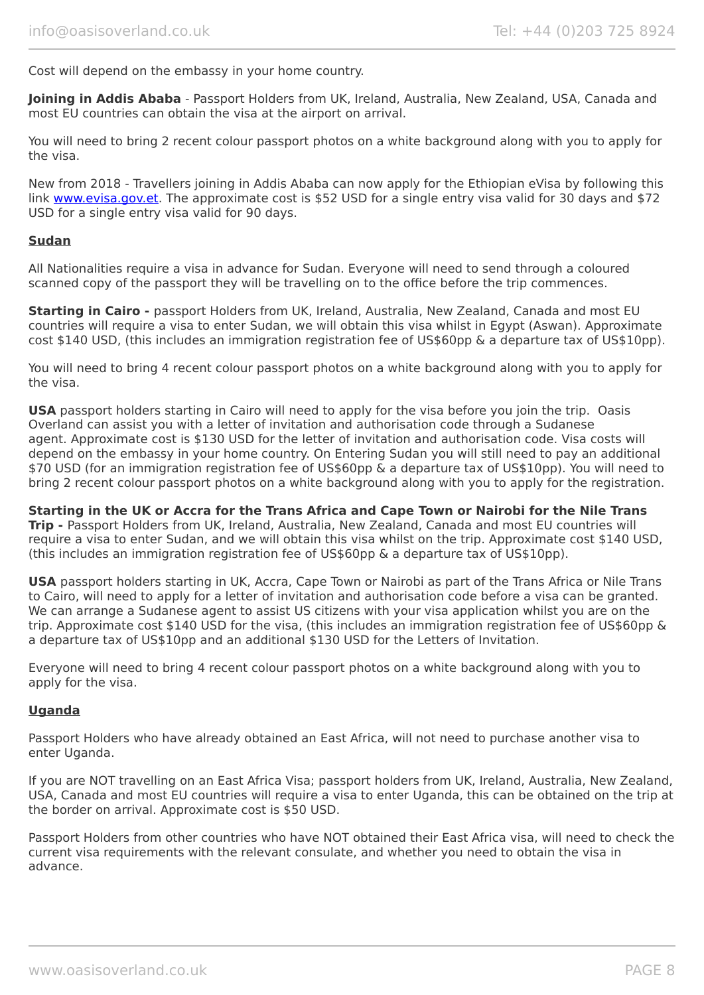Cost will depend on the embassy in your home country.

**Joining in Addis Ababa** - Passport Holders from UK, Ireland, Australia, New Zealand, USA, Canada and most EU countries can obtain the visa at the airport on arrival.

You will need to bring 2 recent colour passport photos on a white background along with you to apply for the visa.

New from 2018 - Travellers joining in Addis Ababa can now apply for the Ethiopian eVisa by following this link [www.evisa.gov.et](https://www.evisa.gov.et/). The approximate cost is \$52 USD for a single entry visa valid for 30 days and \$72 USD for a single entry visa valid for 90 days.

#### **Sudan**

All Nationalities require a visa in advance for Sudan. Everyone will need to send through a coloured scanned copy of the passport they will be travelling on to the office before the trip commences.

**Starting in Cairo -** passport Holders from UK, Ireland, Australia, New Zealand, Canada and most EU countries will require a visa to enter Sudan, we will obtain this visa whilst in Egypt (Aswan). Approximate cost \$140 USD, (this includes an immigration registration fee of US\$60pp & a departure tax of US\$10pp).

You will need to bring 4 recent colour passport photos on a white background along with you to apply for the visa.

**USA** passport holders starting in Cairo will need to apply for the visa before you join the trip. Oasis Overland can assist you with a letter of invitation and authorisation code through a Sudanese agent. Approximate cost is \$130 USD for the letter of invitation and authorisation code. Visa costs will depend on the embassy in your home country. On Entering Sudan you will still need to pay an additional \$70 USD (for an immigration registration fee of US\$60pp & a departure tax of US\$10pp). You will need to bring 2 recent colour passport photos on a white background along with you to apply for the registration.

**Starting in the UK or Accra for the Trans Africa and Cape Town or Nairobi for the Nile Trans Trip -** Passport Holders from UK, Ireland, Australia, New Zealand, Canada and most EU countries will require a visa to enter Sudan, and we will obtain this visa whilst on the trip. Approximate cost \$140 USD, (this includes an immigration registration fee of US\$60pp & a departure tax of US\$10pp).

**USA** passport holders starting in UK, Accra, Cape Town or Nairobi as part of the Trans Africa or Nile Trans to Cairo, will need to apply for a letter of invitation and authorisation code before a visa can be granted. We can arrange a Sudanese agent to assist US citizens with your visa application whilst you are on the trip. Approximate cost \$140 USD for the visa, (this includes an immigration registration fee of US\$60pp & a departure tax of US\$10pp and an additional \$130 USD for the Letters of Invitation.

Everyone will need to bring 4 recent colour passport photos on a white background along with you to apply for the visa.

#### **Uganda**

Passport Holders who have already obtained an East Africa, will not need to purchase another visa to enter Uganda.

If you are NOT travelling on an East Africa Visa; passport holders from UK, Ireland, Australia, New Zealand, USA, Canada and most EU countries will require a visa to enter Uganda, this can be obtained on the trip at the border on arrival. Approximate cost is \$50 USD.

Passport Holders from other countries who have NOT obtained their East Africa visa, will need to check the current visa requirements with the relevant consulate, and whether you need to obtain the visa in advance.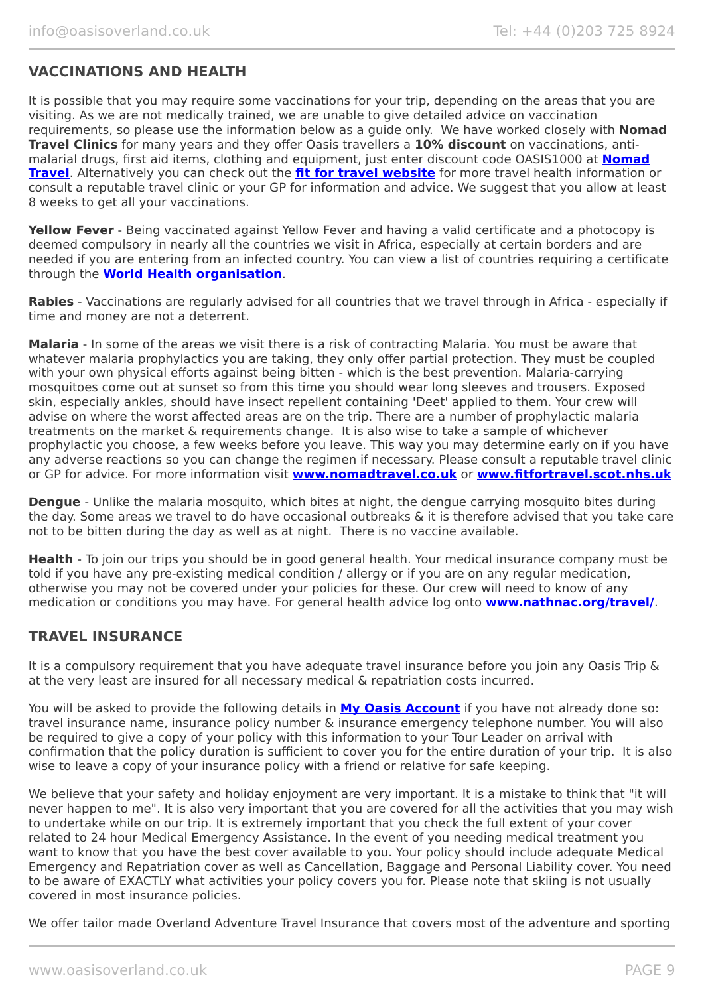## **VACCINATIONS AND HEALTH**

It is possible that you may require some vaccinations for your trip, depending on the areas that you are visiting. As we are not medically trained, we are unable to give detailed advice on vaccination requirements, so please use the information below as a guide only. We have worked closely with **Nomad Travel Clinics** for many years and they offer Oasis travellers a **10% discount** on vaccinations, antimalarial drugs, first aid items, clothing and equipment, just enter discount code OASIS1000 at **[Nomad](http://www.nomadtravel.co.uk/) [Travel](http://www.nomadtravel.co.uk/)**. Alternatively you can check out the **[fit for travel website](https://www.fitfortravel.nhs.uk/home)** for more travel health information or consult a reputable travel clinic or your GP for information and advice. We suggest that you allow at least 8 weeks to get all your vaccinations.

**Yellow Fever** - Being vaccinated against Yellow Fever and having a valid certificate and a photocopy is deemed compulsory in nearly all the countries we visit in Africa, especially at certain borders and are needed if you are entering from an infected country. You can view a list of countries requiring a certificate through the **[World Health organisation](http://www.who.int/ith/ITH_country_list.pdf)**.

**Rabies** - Vaccinations are regularly advised for all countries that we travel through in Africa - especially if time and money are not a deterrent.

**Malaria** - In some of the areas we visit there is a risk of contracting Malaria. You must be aware that whatever malaria prophylactics you are taking, they only offer partial protection. They must be coupled with your own physical efforts against being bitten - which is the best prevention. Malaria-carrying mosquitoes come out at sunset so from this time you should wear long sleeves and trousers. Exposed skin, especially ankles, should have insect repellent containing 'Deet' applied to them. Your crew will advise on where the worst affected areas are on the trip. There are a number of prophylactic malaria treatments on the market & requirements change. It is also wise to take a sample of whichever prophylactic you choose, a few weeks before you leave. This way you may determine early on if you have any adverse reactions so you can change the regimen if necessary. Please consult a reputable travel clinic or GP for advice. For more information visit **[www.nomadtravel.co.uk](http://www.nomadtravel.co.uk/)** or **[www.fitfortravel.scot.nhs.uk](http://www.fitfortravel.scot.nhs.uk/)**

**Dengue** - Unlike the malaria mosquito, which bites at night, the dengue carrying mosquito bites during the day. Some areas we travel to do have occasional outbreaks & it is therefore advised that you take care not to be bitten during the day as well as at night. There is no vaccine available.

**Health** - To join our trips you should be in good general health. Your medical insurance company must be told if you have any pre-existing medical condition / allergy or if you are on any regular medication, otherwise you may not be covered under your policies for these. Our crew will need to know of any medication or conditions you may have. For general health advice log onto **[www.nathnac.org/travel/](http://www.nathnac.org/travel/)**.

### **TRAVEL INSURANCE**

It is a compulsory requirement that you have adequate travel insurance before you join any Oasis Trip & at the very least are insured for all necessary medical & repatriation costs incurred.

You will be asked to provide the following details in **My [Oasis Account](https://oasisportal.eecsoftware.com/)** if you have not already done so: travel insurance name, insurance policy number & insurance emergency telephone number. You will also be required to give a copy of your policy with this information to your Tour Leader on arrival with confirmation that the policy duration is sufficient to cover you for the entire duration of your trip. It is also wise to leave a copy of your insurance policy with a friend or relative for safe keeping.

We believe that your safety and holiday enjoyment are very important. It is a mistake to think that "it will never happen to me". It is also very important that you are covered for all the activities that you may wish to undertake while on our trip. It is extremely important that you check the full extent of your cover related to 24 hour Medical Emergency Assistance. In the event of you needing medical treatment you want to know that you have the best cover available to you. Your policy should include adequate Medical Emergency and Repatriation cover as well as Cancellation, Baggage and Personal Liability cover. You need to be aware of EXACTLY what activities your policy covers you for. Please note that skiing is not usually covered in most insurance policies.

We offer tailor made Overland Adventure Travel Insurance that covers most of the adventure and sporting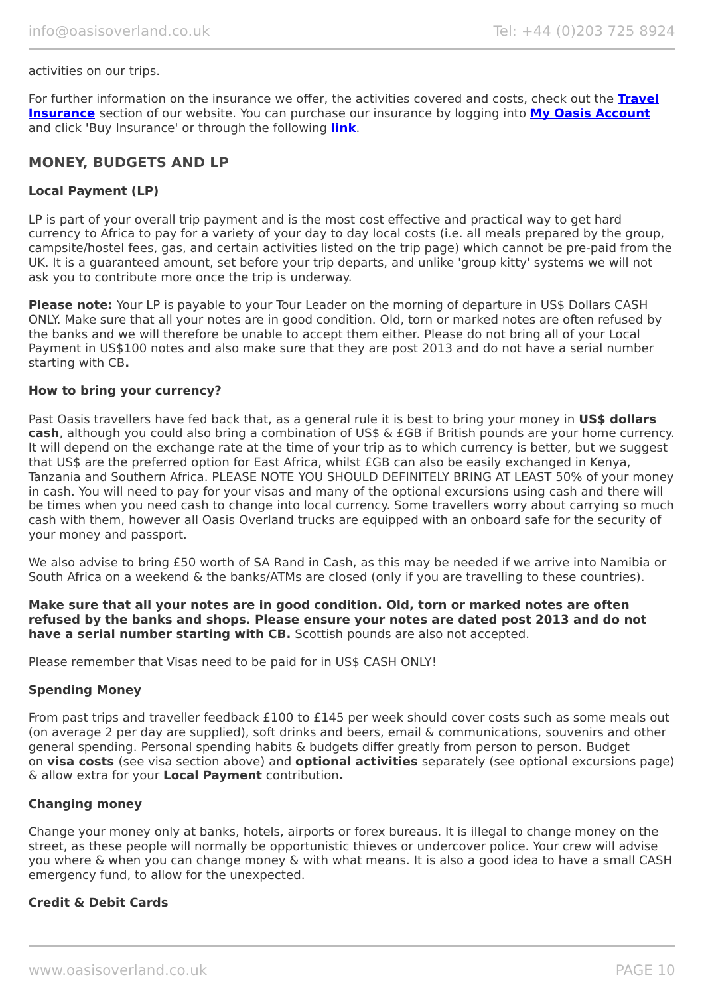#### activities on our trips.

For further information on the insurance we offer, the activities covered and costs, check out the **[Travel](https://www.oasisoverland.co.uk/travel-insurance) [Insurance](https://www.oasisoverland.co.uk/travel-insurance)** section of our website. You can purchase our insurance by logging into **[My Oasis Account](https://oasisportal.eecsoftware.com/)** and click 'Buy Insurance' or through the following **[link](https://www.campbellirvinedirect.com/oasisoverland/)**.

#### **MONEY, BUDGETS AND LP**

#### **Local Payment (LP)**

LP is part of your overall trip payment and is the most cost effective and practical way to get hard currency to Africa to pay for a variety of your day to day local costs (i.e. all meals prepared by the group, campsite/hostel fees, gas, and certain activities listed on the trip page) which cannot be pre-paid from the UK. It is a guaranteed amount, set before your trip departs, and unlike 'group kitty' systems we will not ask you to contribute more once the trip is underway.

**Please note:** Your LP is payable to your Tour Leader on the morning of departure in US\$ Dollars CASH ONLY. Make sure that all your notes are in good condition. Old, torn or marked notes are often refused by the banks and we will therefore be unable to accept them either. Please do not bring all of your Local Payment in US\$100 notes and also make sure that they are post 2013 and do not have a serial number starting with CB**.**

#### **How to bring your currency?**

Past Oasis travellers have fed back that, as a general rule it is best to bring your money in US\$ dollars **cash**, although you could also bring a combination of US\$ & £GB if British pounds are your home currency. It will depend on the exchange rate at the time of your trip as to which currency is better, but we suggest that US\$ are the preferred option for East Africa, whilst £GB can also be easily exchanged in Kenya, Tanzania and Southern Africa. PLEASE NOTE YOU SHOULD DEFINITELY BRING AT LEAST 50% of your money in cash. You will need to pay for your visas and many of the optional excursions using cash and there will be times when you need cash to change into local currency. Some travellers worry about carrying so much cash with them, however all Oasis Overland trucks are equipped with an onboard safe for the security of your money and passport.

We also advise to bring £50 worth of SA Rand in Cash, as this may be needed if we arrive into Namibia or South Africa on a weekend & the banks/ATMs are closed (only if you are travelling to these countries).

**Make sure that all your notes are in good condition. Old, torn or marked notes are often refused by the banks and shops. Please ensure your notes are dated post 2013 and do not have a serial number starting with CB.** Scottish pounds are also not accepted.

Please remember that Visas need to be paid for in US\$ CASH ONLY!

#### **Spending Money**

From past trips and traveller feedback £100 to £145 per week should cover costs such as some meals out (on average 2 per day are supplied), soft drinks and beers, email & communications, souvenirs and other general spending. Personal spending habits & budgets differ greatly from person to person. Budget on **visa costs** (see visa section above) and **optional activities** separately (see optional excursions page) & allow extra for your **Local Payment** contribution**.**

#### **Changing money**

Change your money only at banks, hotels, airports or forex bureaus. It is illegal to change money on the street, as these people will normally be opportunistic thieves or undercover police. Your crew will advise you where & when you can change money & with what means. It is also a good idea to have a small CASH emergency fund, to allow for the unexpected.

#### **Credit & Debit Cards**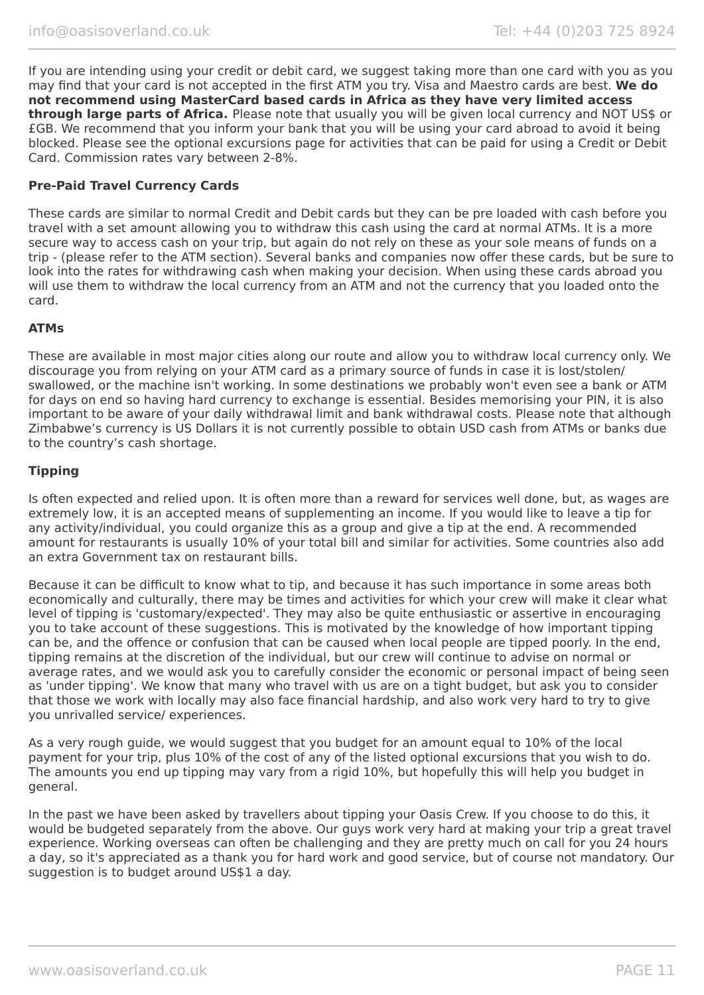If you are intending using your credit or debit card, we suggest taking more than one card with you as you may find that your card is not accepted in the first ATM you try. Visa and Maestro cards are best. **We do not recommend using MasterCard based cards in Africa as they have very limited access through large parts of Africa.** Please note that usually you will be given local currency and NOT US\$ or £GB. We recommend that you inform your bank that you will be using your card abroad to avoid it being blocked. Please see the optional excursions page for activities that can be paid for using a Credit or Debit Card. Commission rates vary between 2-8%.

#### **Pre-Paid Travel Currency Cards**

These cards are similar to normal Credit and Debit cards but they can be pre loaded with cash before you travel with a set amount allowing you to withdraw this cash using the card at normal ATMs. It is a more secure way to access cash on your trip, but again do not rely on these as your sole means of funds on a trip - (please refer to the ATM section). Several banks and companies now offer these cards, but be sure to look into the rates for withdrawing cash when making your decision. When using these cards abroad you will use them to withdraw the local currency from an ATM and not the currency that you loaded onto the card.

#### **ATMs**

These are available in most major cities along our route and allow you to withdraw local currency only. We discourage you from relying on your ATM card as a primary source of funds in case it is lost/stolen/ swallowed, or the machine isn't working. In some destinations we probably won't even see a bank or ATM for days on end so having hard currency to exchange is essential. Besides memorising your PIN, it is also important to be aware of your daily withdrawal limit and bank withdrawal costs. Please note that although Zimbabwe's currency is US Dollars it is not currently possible to obtain USD cash from ATMs or banks due to the country's cash shortage.

#### **Tipping**

Is often expected and relied upon. It is often more than a reward for services well done, but, as wages are extremely low, it is an accepted means of supplementing an income. If you would like to leave a tip for any activity/individual, you could organize this as a group and give a tip at the end. A recommended amount for restaurants is usually 10% of your total bill and similar for activities. Some countries also add an extra Government tax on restaurant bills.

Because it can be difficult to know what to tip, and because it has such importance in some areas both economically and culturally, there may be times and activities for which your crew will make it clear what level of tipping is 'customary/expected'. They may also be quite enthusiastic or assertive in encouraging you to take account of these suggestions. This is motivated by the knowledge of how important tipping can be, and the offence or confusion that can be caused when local people are tipped poorly. In the end, tipping remains at the discretion of the individual, but our crew will continue to advise on normal or average rates, and we would ask you to carefully consider the economic or personal impact of being seen as 'under tipping'. We know that many who travel with us are on a tight budget, but ask you to consider that those we work with locally may also face financial hardship, and also work very hard to try to give you unrivalled service/ experiences.

As a very rough guide, we would suggest that you budget for an amount equal to 10% of the local payment for your trip, plus 10% of the cost of any of the listed optional excursions that you wish to do. The amounts you end up tipping may vary from a rigid 10%, but hopefully this will help you budget in general.

In the past we have been asked by travellers about tipping your Oasis Crew. If you choose to do this, it would be budgeted separately from the above. Our guys work very hard at making your trip a great travel experience. Working overseas can often be challenging and they are pretty much on call for you 24 hours a day, so it's appreciated as a thank you for hard work and good service, but of course not mandatory. Our suggestion is to budget around US\$1 a day.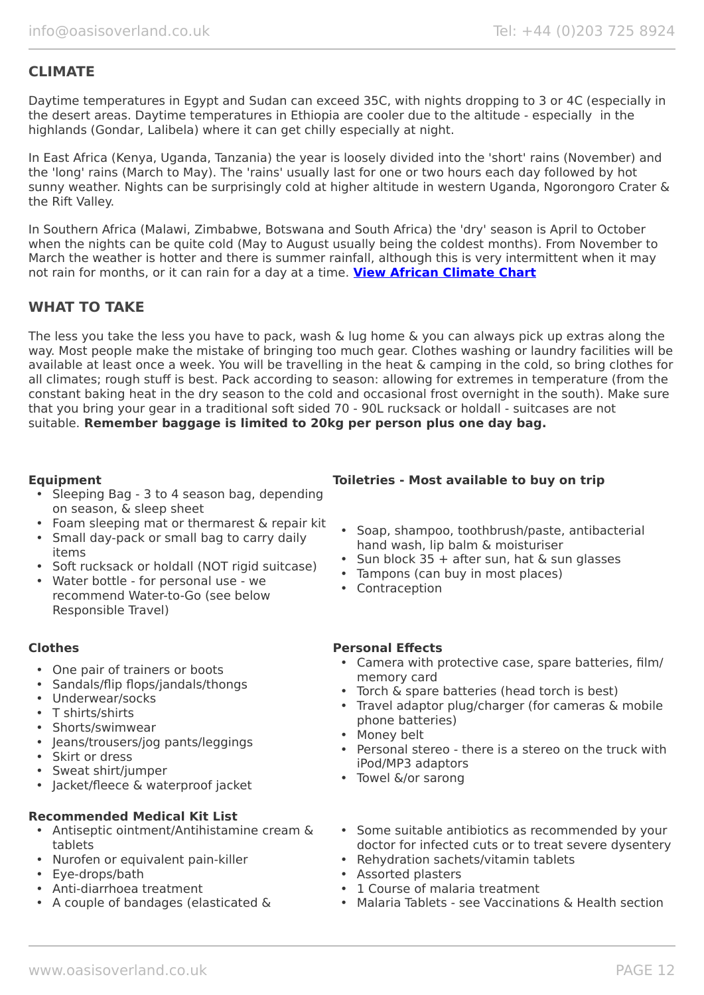## **CLIMATE**

Daytime temperatures in Egypt and Sudan can exceed 35C, with nights dropping to 3 or 4C (especially in the desert areas. Daytime temperatures in Ethiopia are cooler due to the altitude - especially in the highlands (Gondar, Lalibela) where it can get chilly especially at night.

In East Africa (Kenya, Uganda, Tanzania) the year is loosely divided into the 'short' rains (November) and the 'long' rains (March to May). The 'rains' usually last for one or two hours each day followed by hot sunny weather. Nights can be surprisingly cold at higher altitude in western Uganda, Ngorongoro Crater & the Rift Valley.

In Southern Africa (Malawi, Zimbabwe, Botswana and South Africa) the 'dry' season is April to October when the nights can be quite cold (May to August usually being the coldest months). From November to March the weather is hotter and there is summer rainfall, although this is very intermittent when it may not rain for months, or it can rain for a day at a time. **[View African Climate Chart](https://www.oasisoverland.co.uk/trans-africa-climate-chart)**

## **WHAT TO TAKE**

The less you take the less you have to pack, wash & lug home & you can always pick up extras along the way. Most people make the mistake of bringing too much gear. Clothes washing or laundry facilities will be available at least once a week. You will be travelling in the heat & camping in the cold, so bring clothes for all climates; rough stuff is best. Pack according to season: allowing for extremes in temperature (from the constant baking heat in the dry season to the cold and occasional frost overnight in the south). Make sure that you bring your gear in a traditional soft sided 70 - 90L rucksack or holdall - suitcases are not suitable. **Remember baggage is limited to 20kg per person plus one day bag.**

- Sleeping Bag 3 to 4 season bag, depending on season, & sleep sheet
- Foam sleeping mat or thermarest & repair kit
- Small day-pack or small bag to carry daily items
- Soft rucksack or holdall (NOT rigid suitcase)
- Water bottle for personal use we recommend Water-to-Go (see below Responsible Travel)

- One pair of trainers or boots
- Sandals/flip flops/jandals/thongs
- Underwear/socks
- T shirts/shirts
- Shorts/swimwear
- Jeans/trousers/jog pants/leggings
- Skirt or dress
- Sweat shirt/jumper
- Jacket/fleece & waterproof jacket

#### **Recommended Medical Kit List**

- Antiseptic ointment/Antihistamine cream & tablets
- Nurofen or equivalent pain-killer
- Eye-drops/bath
- Anti-diarrhoea treatment
- A couple of bandages (elasticated &

## **Equipment Toiletries - Most available to buy on trip**

- Soap, shampoo, toothbrush/paste, antibacterial hand wash, lip balm & moisturiser
- Sun block  $35 +$  after sun, hat & sun glasses
- Tampons (can buy in most places)
- Contraception

#### **Clothes Personal Effects**

- Camera with protective case, spare batteries, film/ memory card
- Torch & spare batteries (head torch is best)
- Travel adaptor plug/charger (for cameras & mobile phone batteries)
- Money belt
- Personal stereo there is a stereo on the truck with iPod/MP3 adaptors
- Towel &/or sarong
- Some suitable antibiotics as recommended by your doctor for infected cuts or to treat severe dysentery
- Rehydration sachets/vitamin tablets
- Assorted plasters
- 1 Course of malaria treatment
- Malaria Tablets see Vaccinations & Health section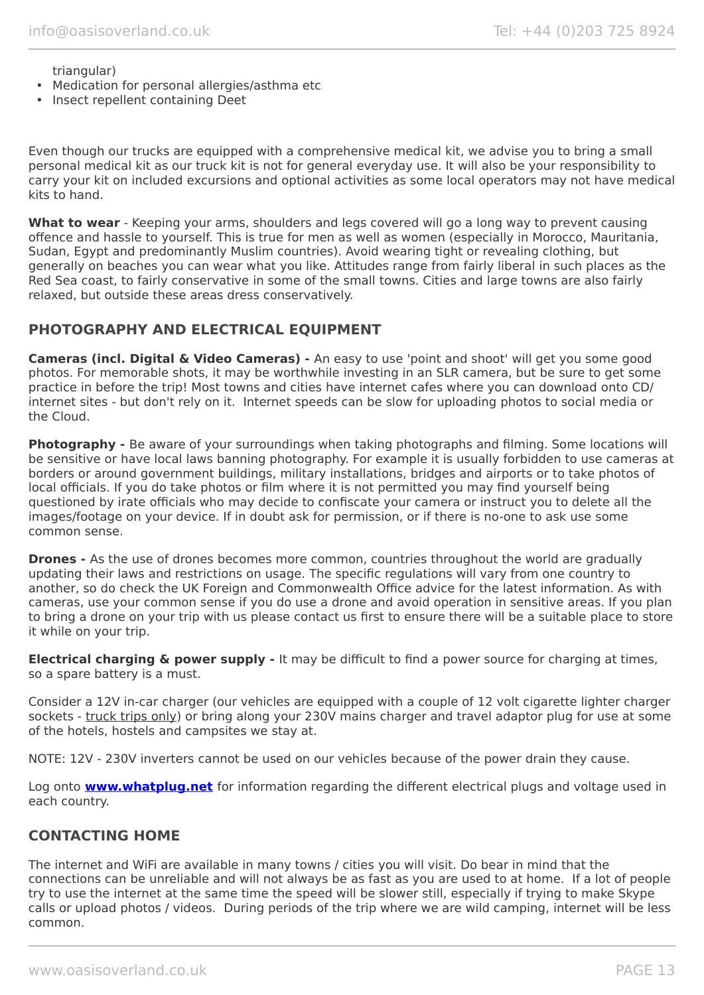triangular)

- Medication for personal allergies/asthma etc
- Insect repellent containing Deet

Even though our trucks are equipped with a comprehensive medical kit, we advise you to bring a small personal medical kit as our truck kit is not for general everyday use. It will also be your responsibility to carry your kit on included excursions and optional activities as some local operators may not have medical kits to hand.

**What to wear** - Keeping your arms, shoulders and legs covered will go a long way to prevent causing offence and hassle to yourself. This is true for men as well as women (especially in Morocco, Mauritania, Sudan, Egypt and predominantly Muslim countries). Avoid wearing tight or revealing clothing, but generally on beaches you can wear what you like. Attitudes range from fairly liberal in such places as the Red Sea coast, to fairly conservative in some of the small towns. Cities and large towns are also fairly relaxed, but outside these areas dress conservatively.

## **PHOTOGRAPHY AND ELECTRICAL EQUIPMENT**

**Cameras (incl. Digital & Video Cameras) -** An easy to use 'point and shoot' will get you some good photos. For memorable shots, it may be worthwhile investing in an SLR camera, but be sure to get some practice in before the trip! Most towns and cities have internet cafes where you can download onto CD/ internet sites - but don't rely on it. Internet speeds can be slow for uploading photos to social media or the Cloud.

**Photography -** Be aware of your surroundings when taking photographs and filming. Some locations will be sensitive or have local laws banning photography. For example it is usually forbidden to use cameras at borders or around government buildings, military installations, bridges and airports or to take photos of local officials. If you do take photos or film where it is not permitted you may find yourself being questioned by irate officials who may decide to confiscate your camera or instruct you to delete all the images/footage on your device. If in doubt ask for permission, or if there is no-one to ask use some common sense.

**Drones -** As the use of drones becomes more common, countries throughout the world are gradually updating their laws and restrictions on usage. The specific regulations will vary from one country to another, so do check the UK Foreign and Commonwealth Office advice for the latest information. As with cameras, use your common sense if you do use a drone and avoid operation in sensitive areas. If you plan to bring a drone on your trip with us please contact us first to ensure there will be a suitable place to store it while on your trip.

**Electrical charging & power supply -** It may be difficult to find a power source for charging at times, so a spare battery is a must.

Consider a 12V in-car charger (our vehicles are equipped with a couple of 12 volt cigarette lighter charger sockets - truck trips only) or bring along your 230V mains charger and travel adaptor plug for use at some of the hotels, hostels and campsites we stay at.

NOTE: 12V - 230V inverters cannot be used on our vehicles because of the power drain they cause.

Log onto **[www.whatplug.net](http://www.whatplug.net/)** for information regarding the different electrical plugs and voltage used in each country.

### **CONTACTING HOME**

The internet and WiFi are available in many towns / cities you will visit. Do bear in mind that the connections can be unreliable and will not always be as fast as you are used to at home. If a lot of people try to use the internet at the same time the speed will be slower still, especially if trying to make Skype calls or upload photos / videos. During periods of the trip where we are wild camping, internet will be less common.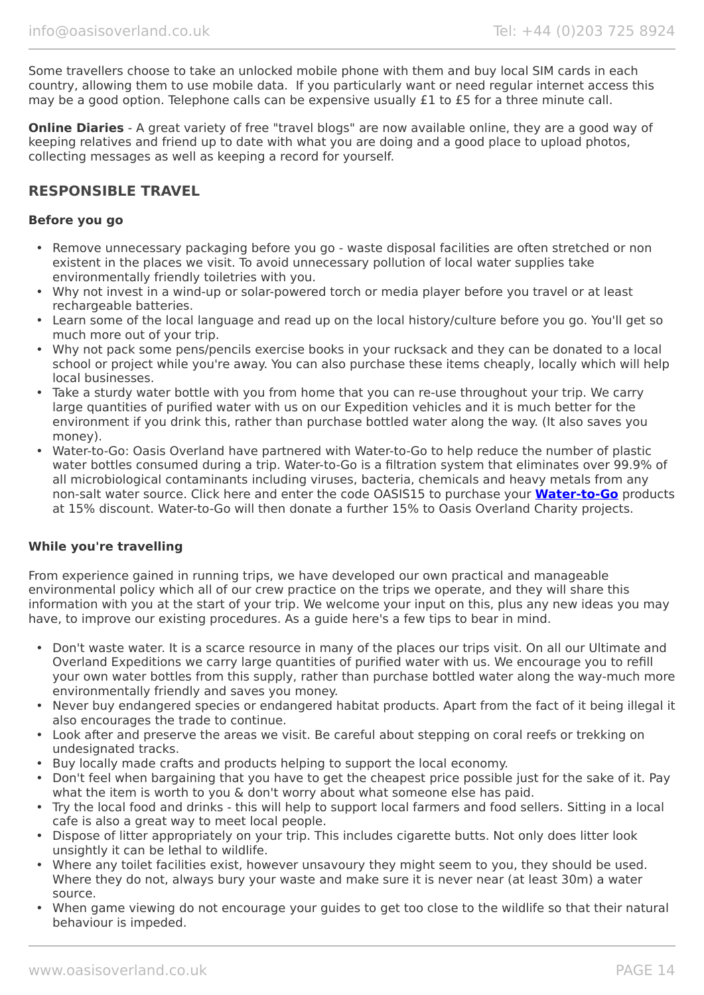Some travellers choose to take an unlocked mobile phone with them and buy local SIM cards in each country, allowing them to use mobile data. If you particularly want or need regular internet access this may be a good option. Telephone calls can be expensive usually £1 to £5 for a three minute call.

**Online Diaries** - A great variety of free "travel blogs" are now available online, they are a good way of keeping relatives and friend up to date with what you are doing and a good place to upload photos, collecting messages as well as keeping a record for yourself.

## **RESPONSIBLE TRAVEL**

#### **Before you go**

- Remove unnecessary packaging before you go waste disposal facilities are often stretched or non existent in the places we visit. To avoid unnecessary pollution of local water supplies take environmentally friendly toiletries with you.
- Why not invest in a wind-up or solar-powered torch or media player before you travel or at least rechargeable batteries.
- Learn some of the local language and read up on the local history/culture before you go. You'll get so much more out of your trip.
- Why not pack some pens/pencils exercise books in your rucksack and they can be donated to a local school or project while you're away. You can also purchase these items cheaply, locally which will help local businesses.
- Take a sturdy water bottle with you from home that you can re-use throughout your trip. We carry large quantities of purified water with us on our Expedition vehicles and it is much better for the environment if you drink this, rather than purchase bottled water along the way. (It also saves you money).
- Water-to-Go: Oasis Overland have partnered with Water-to-Go to help reduce the number of plastic water bottles consumed during a trip. Water-to-Go is a filtration system that eliminates over 99.9% of all microbiological contaminants including viruses, bacteria, chemicals and heavy metals from any non-salt water source. Click here and enter the code OASIS15 to purchase your **[Water-to-Go](https://watertogo.eu/partnerships/oasisoverland/)** products at 15% discount. Water-to-Go will then donate a further 15% to Oasis Overland Charity projects.

#### **While you're travelling**

From experience gained in running trips, we have developed our own practical and manageable environmental policy which all of our crew practice on the trips we operate, and they will share this information with you at the start of your trip. We welcome your input on this, plus any new ideas you may have, to improve our existing procedures. As a guide here's a few tips to bear in mind.

- Don't waste water. It is a scarce resource in many of the places our trips visit. On all our Ultimate and Overland Expeditions we carry large quantities of purified water with us. We encourage you to refill your own water bottles from this supply, rather than purchase bottled water along the way-much more environmentally friendly and saves you money.
- Never buy endangered species or endangered habitat products. Apart from the fact of it being illegal it also encourages the trade to continue.
- Look after and preserve the areas we visit. Be careful about stepping on coral reefs or trekking on undesignated tracks.
- Buy locally made crafts and products helping to support the local economy.
- Don't feel when bargaining that you have to get the cheapest price possible just for the sake of it. Pay what the item is worth to you & don't worry about what someone else has paid.
- Try the local food and drinks this will help to support local farmers and food sellers. Sitting in a local cafe is also a great way to meet local people.
- Dispose of litter appropriately on your trip. This includes cigarette butts. Not only does litter look unsightly it can be lethal to wildlife.
- Where any toilet facilities exist, however unsavoury they might seem to you, they should be used. Where they do not, always bury your waste and make sure it is never near (at least 30m) a water source.
- When game viewing do not encourage your guides to get too close to the wildlife so that their natural behaviour is impeded.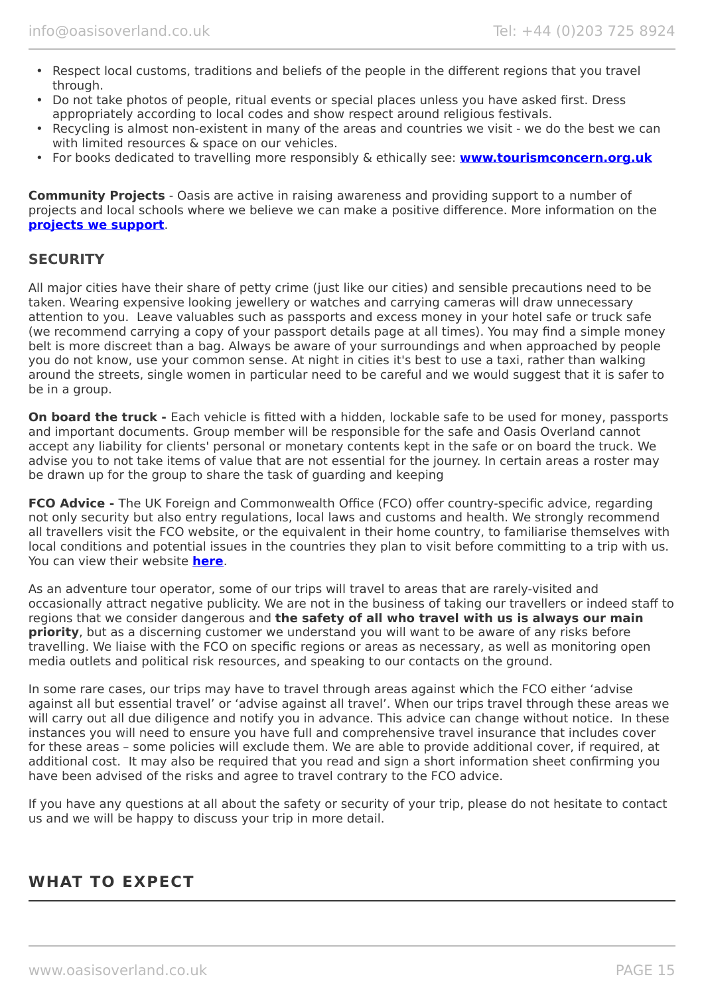- Respect local customs, traditions and beliefs of the people in the different regions that you travel through.
- Do not take photos of people, ritual events or special places unless you have asked first. Dress appropriately according to local codes and show respect around religious festivals.
- Recycling is almost non-existent in many of the areas and countries we visit we do the best we can with limited resources & space on our vehicles.
- For books dedicated to travelling more responsibly & ethically see: **[www.tourismconcern.org.uk](https://www.tourismconcern.org.uk/)**

**Community Projects** - Oasis are active in raising awareness and providing support to a number of projects and local schools where we believe we can make a positive difference. More information on the **[projects we support](https://www.oasisoverland.co.uk/responsible-travel/charities-we-support)**.

### **SECURITY**

All major cities have their share of petty crime (just like our cities) and sensible precautions need to be taken. Wearing expensive looking jewellery or watches and carrying cameras will draw unnecessary attention to you. Leave valuables such as passports and excess money in your hotel safe or truck safe (we recommend carrying a copy of your passport details page at all times). You may find a simple money belt is more discreet than a bag. Always be aware of your surroundings and when approached by people you do not know, use your common sense. At night in cities it's best to use a taxi, rather than walking around the streets, single women in particular need to be careful and we would suggest that it is safer to be in a group.

**On board the truck -** Each vehicle is fitted with a hidden, lockable safe to be used for money, passports and important documents. Group member will be responsible for the safe and Oasis Overland cannot accept any liability for clients' personal or monetary contents kept in the safe or on board the truck. We advise you to not take items of value that are not essential for the journey. In certain areas a roster may be drawn up for the group to share the task of guarding and keeping

**FCO Advice -** The UK Foreign and Commonwealth Office (FCO) offer country-specific advice, regarding not only security but also entry regulations, local laws and customs and health. We strongly recommend all travellers visit the FCO website, or the equivalent in their home country, to familiarise themselves with local conditions and potential issues in the countries they plan to visit before committing to a trip with us. You can view their website **[here](https://www.gov.uk/foreign-travel-advice)**.

As an adventure tour operator, some of our trips will travel to areas that are rarely-visited and occasionally attract negative publicity. We are not in the business of taking our travellers or indeed staff to regions that we consider dangerous and **the safety of all who travel with us is always our main priority**, but as a discerning customer we understand you will want to be aware of any risks before travelling. We liaise with the FCO on specific regions or areas as necessary, as well as monitoring open media outlets and political risk resources, and speaking to our contacts on the ground.

In some rare cases, our trips may have to travel through areas against which the FCO either 'advise against all but essential travel' or 'advise against all travel'. When our trips travel through these areas we will carry out all due diligence and notify you in advance. This advice can change without notice. In these instances you will need to ensure you have full and comprehensive travel insurance that includes cover for these areas – some policies will exclude them. We are able to provide additional cover, if required, at additional cost. It may also be required that you read and sign a short information sheet confirming you have been advised of the risks and agree to travel contrary to the FCO advice.

If you have any questions at all about the safety or security of your trip, please do not hesitate to contact us and we will be happy to discuss your trip in more detail.

## **WHAT TO EXPECT**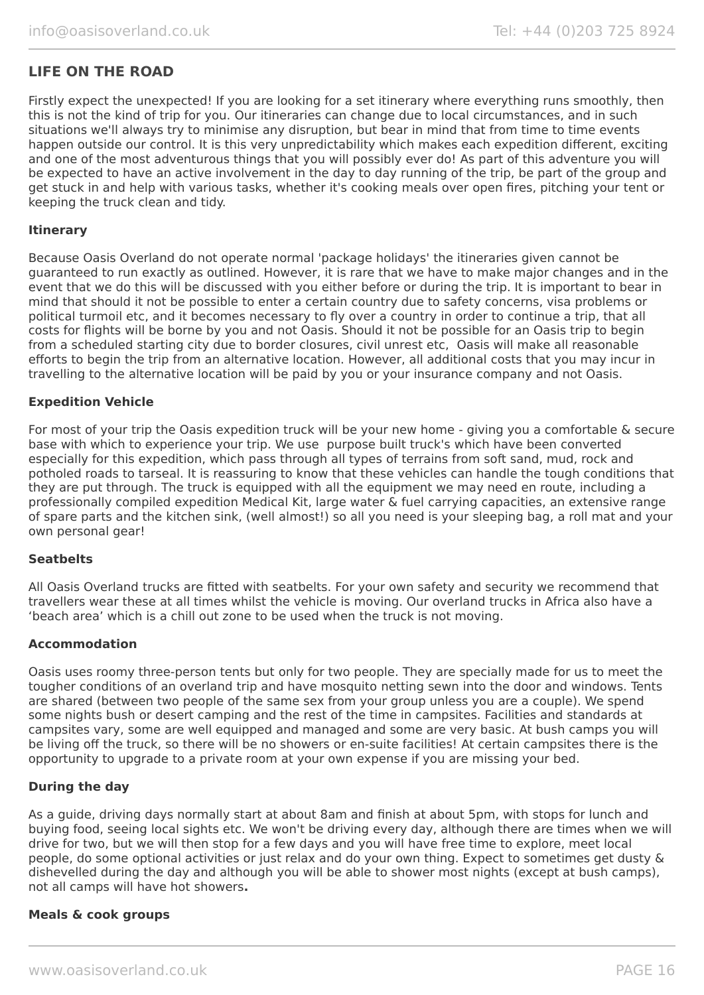## **LIFE ON THE ROAD**

Firstly expect the unexpected! If you are looking for a set itinerary where everything runs smoothly, then this is not the kind of trip for you. Our itineraries can change due to local circumstances, and in such situations we'll always try to minimise any disruption, but bear in mind that from time to time events happen outside our control. It is this very unpredictability which makes each expedition different, exciting and one of the most adventurous things that you will possibly ever do! As part of this adventure you will be expected to have an active involvement in the day to day running of the trip, be part of the group and get stuck in and help with various tasks, whether it's cooking meals over open fires, pitching your tent or keeping the truck clean and tidy.

#### **Itinerary**

Because Oasis Overland do not operate normal 'package holidays' the itineraries given cannot be guaranteed to run exactly as outlined. However, it is rare that we have to make major changes and in the event that we do this will be discussed with you either before or during the trip. It is important to bear in mind that should it not be possible to enter a certain country due to safety concerns, visa problems or political turmoil etc, and it becomes necessary to fly over a country in order to continue a trip, that all costs for flights will be borne by you and not Oasis. Should it not be possible for an Oasis trip to begin from a scheduled starting city due to border closures, civil unrest etc, Oasis will make all reasonable efforts to begin the trip from an alternative location. However, all additional costs that you may incur in travelling to the alternative location will be paid by you or your insurance company and not Oasis.

#### **Expedition Vehicle**

For most of your trip the Oasis expedition truck will be your new home - giving you a comfortable & secure base with which to experience your trip. We use purpose built truck's which have been converted especially for this expedition, which pass through all types of terrains from soft sand, mud, rock and potholed roads to tarseal. It is reassuring to know that these vehicles can handle the tough conditions that they are put through. The truck is equipped with all the equipment we may need en route, including a professionally compiled expedition Medical Kit, large water & fuel carrying capacities, an extensive range of spare parts and the kitchen sink, (well almost!) so all you need is your sleeping bag, a roll mat and your own personal gear!

#### **Seatbelts**

All Oasis Overland trucks are fitted with seatbelts. For your own safety and security we recommend that travellers wear these at all times whilst the vehicle is moving. Our overland trucks in Africa also have a 'beach area' which is a chill out zone to be used when the truck is not moving.

#### **Accommodation**

Oasis uses roomy three-person tents but only for two people. They are specially made for us to meet the tougher conditions of an overland trip and have mosquito netting sewn into the door and windows. Tents are shared (between two people of the same sex from your group unless you are a couple). We spend some nights bush or desert camping and the rest of the time in campsites. Facilities and standards at campsites vary, some are well equipped and managed and some are very basic. At bush camps you will be living off the truck, so there will be no showers or en-suite facilities! At certain campsites there is the opportunity to upgrade to a private room at your own expense if you are missing your bed.

#### **During the day**

As a guide, driving days normally start at about 8am and finish at about 5pm, with stops for lunch and buying food, seeing local sights etc. We won't be driving every day, although there are times when we will drive for two, but we will then stop for a few days and you will have free time to explore, meet local people, do some optional activities or just relax and do your own thing. Expect to sometimes get dusty & dishevelled during the day and although you will be able to shower most nights (except at bush camps), not all camps will have hot showers**.**

#### **Meals & cook groups**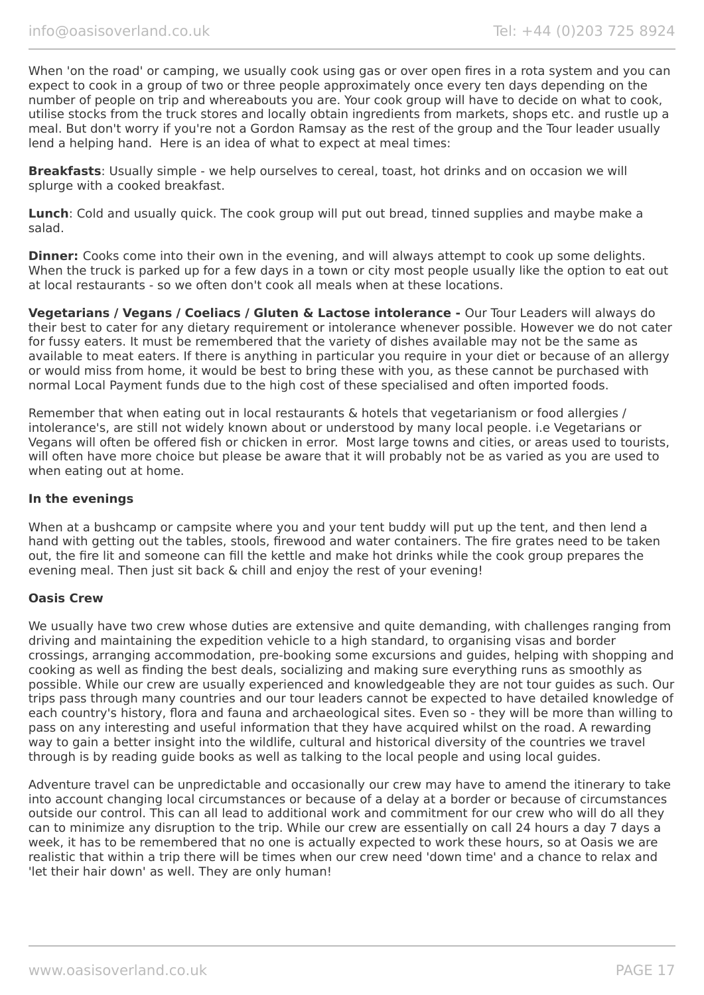When 'on the road' or camping, we usually cook using gas or over open fires in a rota system and you can expect to cook in a group of two or three people approximately once every ten days depending on the number of people on trip and whereabouts you are. Your cook group will have to decide on what to cook, utilise stocks from the truck stores and locally obtain ingredients from markets, shops etc. and rustle up a meal. But don't worry if you're not a Gordon Ramsay as the rest of the group and the Tour leader usually lend a helping hand. Here is an idea of what to expect at meal times:

**Breakfasts**: Usually simple - we help ourselves to cereal, toast, hot drinks and on occasion we will splurge with a cooked breakfast.

**Lunch**: Cold and usually quick. The cook group will put out bread, tinned supplies and maybe make a salad.

**Dinner:** Cooks come into their own in the evening, and will always attempt to cook up some delights. When the truck is parked up for a few days in a town or city most people usually like the option to eat out at local restaurants - so we often don't cook all meals when at these locations.

**Vegetarians / Vegans / Coeliacs / Gluten & Lactose intolerance -** Our Tour Leaders will always do their best to cater for any dietary requirement or intolerance whenever possible. However we do not cater for fussy eaters. It must be remembered that the variety of dishes available may not be the same as available to meat eaters. If there is anything in particular you require in your diet or because of an allergy or would miss from home, it would be best to bring these with you, as these cannot be purchased with normal Local Payment funds due to the high cost of these specialised and often imported foods.

Remember that when eating out in local restaurants & hotels that vegetarianism or food allergies / intolerance's, are still not widely known about or understood by many local people. i.e Vegetarians or Vegans will often be offered fish or chicken in error. Most large towns and cities, or areas used to tourists, will often have more choice but please be aware that it will probably not be as varied as you are used to when eating out at home.

#### **In the evenings**

When at a bushcamp or campsite where you and your tent buddy will put up the tent, and then lend a hand with getting out the tables, stools, firewood and water containers. The fire grates need to be taken out, the fire lit and someone can fill the kettle and make hot drinks while the cook group prepares the evening meal. Then just sit back & chill and enjoy the rest of your evening!

#### **Oasis Crew**

We usually have two crew whose duties are extensive and quite demanding, with challenges ranging from driving and maintaining the expedition vehicle to a high standard, to organising visas and border crossings, arranging accommodation, pre-booking some excursions and guides, helping with shopping and cooking as well as finding the best deals, socializing and making sure everything runs as smoothly as possible. While our crew are usually experienced and knowledgeable they are not tour guides as such. Our trips pass through many countries and our tour leaders cannot be expected to have detailed knowledge of each country's history, flora and fauna and archaeological sites. Even so - they will be more than willing to pass on any interesting and useful information that they have acquired whilst on the road. A rewarding way to gain a better insight into the wildlife, cultural and historical diversity of the countries we travel through is by reading guide books as well as talking to the local people and using local guides.

Adventure travel can be unpredictable and occasionally our crew may have to amend the itinerary to take into account changing local circumstances or because of a delay at a border or because of circumstances outside our control. This can all lead to additional work and commitment for our crew who will do all they can to minimize any disruption to the trip. While our crew are essentially on call 24 hours a day 7 days a week, it has to be remembered that no one is actually expected to work these hours, so at Oasis we are realistic that within a trip there will be times when our crew need 'down time' and a chance to relax and 'let their hair down' as well. They are only human!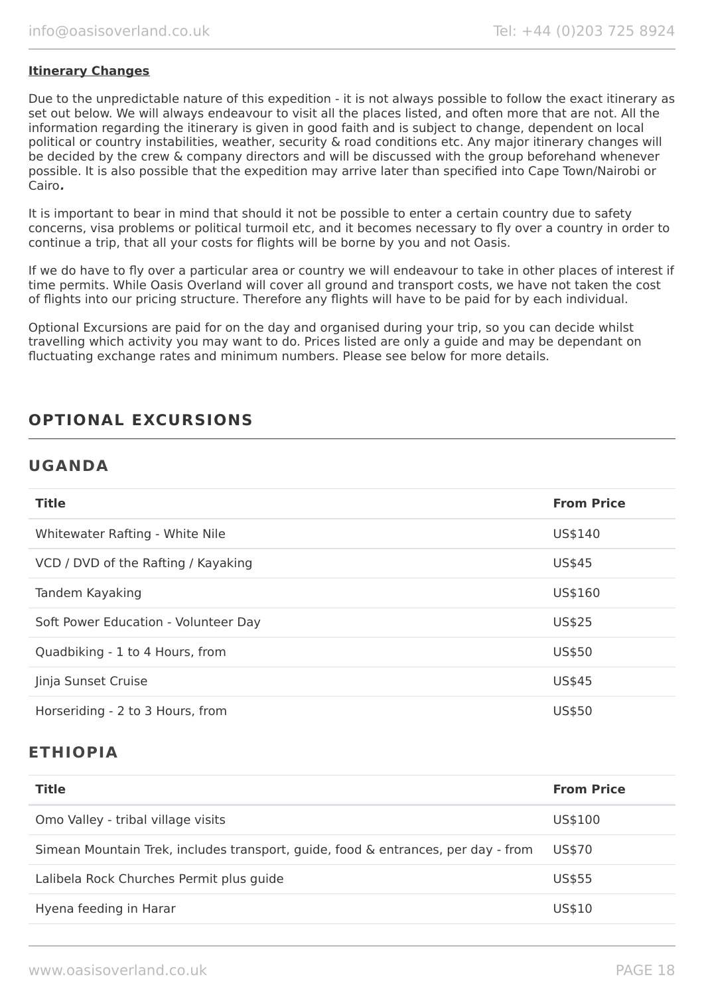#### **Itinerary Changes**

Due to the unpredictable nature of this expedition - it is not always possible to follow the exact itinerary as set out below. We will always endeavour to visit all the places listed, and often more that are not. All the information regarding the itinerary is given in good faith and is subject to change, dependent on local political or country instabilities, weather, security & road conditions etc. Any major itinerary changes will be decided by the crew & company directors and will be discussed with the group beforehand whenever possible. It is also possible that the expedition may arrive later than specified into Cape Town/Nairobi or Cairo**.**

It is important to bear in mind that should it not be possible to enter a certain country due to safety concerns, visa problems or political turmoil etc, and it becomes necessary to fly over a country in order to continue a trip, that all your costs for flights will be borne by you and not Oasis.

If we do have to fly over a particular area or country we will endeavour to take in other places of interest if time permits. While Oasis Overland will cover all ground and transport costs, we have not taken the cost of flights into our pricing structure. Therefore any flights will have to be paid for by each individual.

Optional Excursions are paid for on the day and organised during your trip, so you can decide whilst travelling which activity you may want to do. Prices listed are only a guide and may be dependant on fluctuating exchange rates and minimum numbers. Please see below for more details.

## **OPTIONAL EXCURSIONS**

## **UGANDA**

| <b>Title</b>                         | <b>From Price</b> |
|--------------------------------------|-------------------|
| Whitewater Rafting - White Nile      | US\$140           |
| VCD / DVD of the Rafting / Kayaking  | US\$45            |
| Tandem Kayaking                      | US\$160           |
| Soft Power Education - Volunteer Day | US\$25            |
| Quadbiking - 1 to 4 Hours, from      | US\$50            |
| Jinja Sunset Cruise                  | US\$45            |
| Horseriding - 2 to 3 Hours, from     | US\$50            |

## **ETHIOPIA**

| <b>Title</b>                                                                      | <b>From Price</b> |
|-----------------------------------------------------------------------------------|-------------------|
| Omo Valley - tribal village visits                                                | US\$100           |
| Simean Mountain Trek, includes transport, guide, food & entrances, per day - from | US\$70            |
| Lalibela Rock Churches Permit plus guide                                          | US\$55            |
| Hyena feeding in Harar                                                            | US\$10            |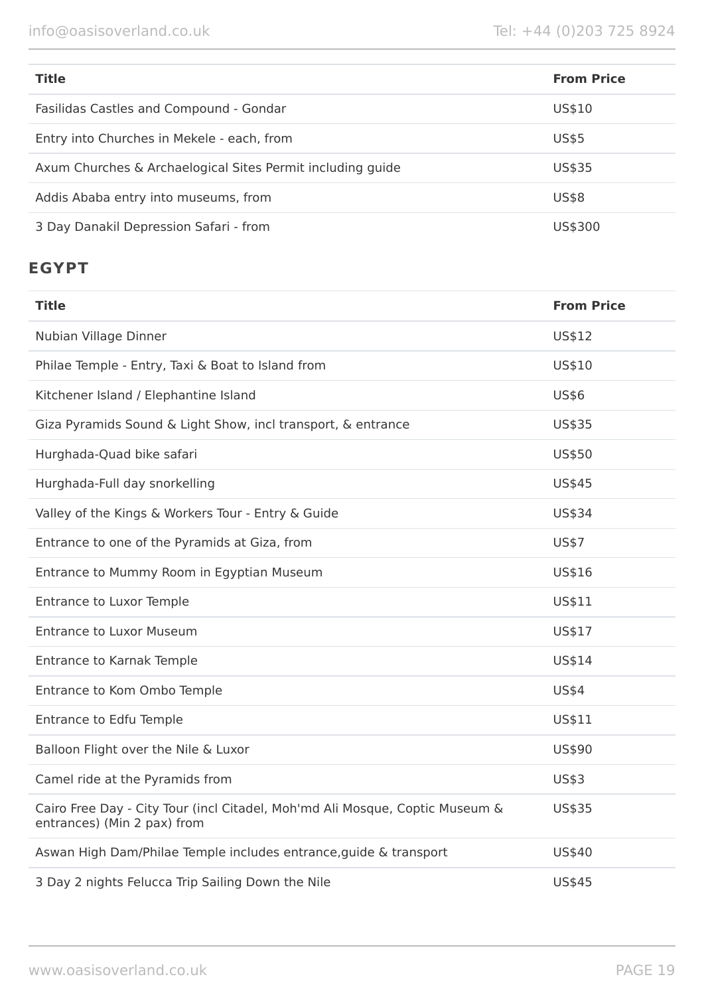| <b>Title</b>                                               | <b>From Price</b> |
|------------------------------------------------------------|-------------------|
| Fasilidas Castles and Compound - Gondar                    | US\$10            |
| Entry into Churches in Mekele - each, from                 | <b>US\$5</b>      |
| Axum Churches & Archaelogical Sites Permit including guide | US\$35            |
| Addis Ababa entry into museums, from                       | <b>US\$8</b>      |
| 3 Day Danakil Depression Safari - from                     | US\$300           |

# **EGYPT**

| <b>Title</b>                                                                                                | <b>From Price</b> |
|-------------------------------------------------------------------------------------------------------------|-------------------|
| Nubian Village Dinner                                                                                       | US\$12            |
| Philae Temple - Entry, Taxi & Boat to Island from                                                           | US\$10            |
| Kitchener Island / Elephantine Island                                                                       | <b>US\$6</b>      |
| Giza Pyramids Sound & Light Show, incl transport, & entrance                                                | <b>US\$35</b>     |
| Hurghada-Quad bike safari                                                                                   | US\$50            |
| Hurghada-Full day snorkelling                                                                               | US\$45            |
| Valley of the Kings & Workers Tour - Entry & Guide                                                          | <b>US\$34</b>     |
| Entrance to one of the Pyramids at Giza, from                                                               | <b>US\$7</b>      |
| Entrance to Mummy Room in Egyptian Museum                                                                   | US\$16            |
| <b>Entrance to Luxor Temple</b>                                                                             | US\$11            |
| <b>Entrance to Luxor Museum</b>                                                                             | US\$17            |
| Entrance to Karnak Temple                                                                                   | US\$14            |
| Entrance to Kom Ombo Temple                                                                                 | <b>US\$4</b>      |
| <b>Entrance to Edfu Temple</b>                                                                              | US\$11            |
| Balloon Flight over the Nile & Luxor                                                                        | US\$90            |
| Camel ride at the Pyramids from                                                                             | <b>US\$3</b>      |
| Cairo Free Day - City Tour (incl Citadel, Moh'md Ali Mosque, Coptic Museum &<br>entrances) (Min 2 pax) from | US\$35            |
| Aswan High Dam/Philae Temple includes entrance, guide & transport                                           | US\$40            |
| 3 Day 2 nights Felucca Trip Sailing Down the Nile                                                           | <b>US\$45</b>     |